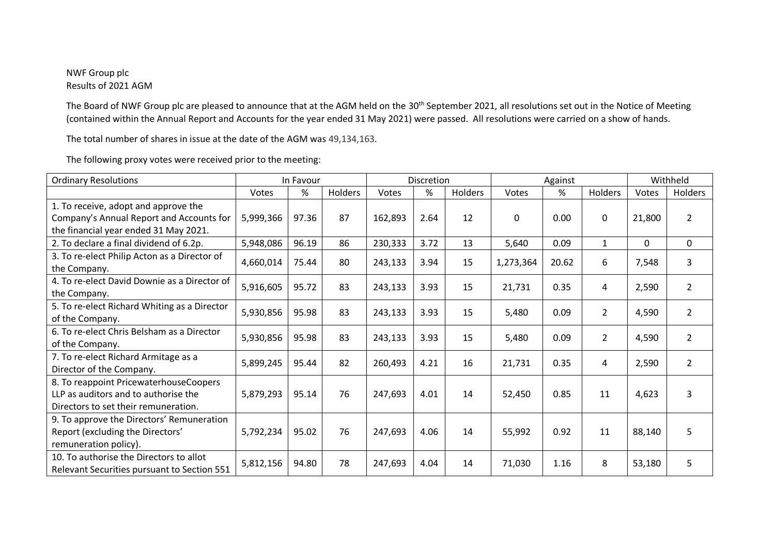## NWF Group plc Results of 2021 AGM

The Board of NWF Group plc are pleased to announce that at the AGM held on the 30<sup>th</sup> September 2021, all resolutions set out in the Notice of Meeting (contained within the Annual Report and Accounts for the year ended 31 May 2021) were passed. All resolutions were carried on a show of hands.

The total number of shares in issue at the date of the AGM was 49,134,163.

| <b>Ordinary Resolutions</b>                                                                                               | In Favour |       |         | Discretion |      |         | Against      |       |                | Withheld     |                |
|---------------------------------------------------------------------------------------------------------------------------|-----------|-------|---------|------------|------|---------|--------------|-------|----------------|--------------|----------------|
|                                                                                                                           | Votes     | %     | Holders | Votes      | %    | Holders | Votes        | %     | <b>Holders</b> | Votes        | Holders        |
| 1. To receive, adopt and approve the<br>Company's Annual Report and Accounts for<br>the financial year ended 31 May 2021. | 5,999,366 | 97.36 | 87      | 162,893    | 2.64 | 12      | $\mathbf{0}$ | 0.00  | $\mathbf{0}$   | 21,800       | 2              |
| 2. To declare a final dividend of 6.2p.                                                                                   | 5,948,086 | 96.19 | 86      | 230,333    | 3.72 | 13      | 5,640        | 0.09  | $\mathbf{1}$   | $\mathbf{0}$ | 0              |
| 3. To re-elect Philip Acton as a Director of<br>the Company.                                                              | 4,660,014 | 75.44 | 80      | 243,133    | 3.94 | 15      | 1,273,364    | 20.62 | 6              | 7,548        | 3              |
| 4. To re-elect David Downie as a Director of<br>the Company.                                                              | 5,916,605 | 95.72 | 83      | 243,133    | 3.93 | 15      | 21,731       | 0.35  | 4              | 2,590        | $\overline{2}$ |
| 5. To re-elect Richard Whiting as a Director<br>of the Company.                                                           | 5,930,856 | 95.98 | 83      | 243,133    | 3.93 | 15      | 5,480        | 0.09  | $\overline{2}$ | 4,590        | 2              |
| 6. To re-elect Chris Belsham as a Director<br>of the Company.                                                             | 5,930,856 | 95.98 | 83      | 243,133    | 3.93 | 15      | 5,480        | 0.09  | $\overline{2}$ | 4,590        | $\overline{2}$ |
| 7. To re-elect Richard Armitage as a<br>Director of the Company.                                                          | 5,899,245 | 95.44 | 82      | 260,493    | 4.21 | 16      | 21,731       | 0.35  | 4              | 2,590        | $\overline{2}$ |
| 8. To reappoint PricewaterhouseCoopers<br>LLP as auditors and to authorise the<br>Directors to set their remuneration.    | 5,879,293 | 95.14 | 76      | 247,693    | 4.01 | 14      | 52,450       | 0.85  | 11             | 4,623        | 3              |
| 9. To approve the Directors' Remuneration<br>Report (excluding the Directors'<br>remuneration policy).                    | 5,792,234 | 95.02 | 76      | 247,693    | 4.06 | 14      | 55,992       | 0.92  | 11             | 88,140       | 5              |
| 10. To authorise the Directors to allot<br>Relevant Securities pursuant to Section 551                                    | 5,812,156 | 94.80 | 78      | 247,693    | 4.04 | 14      | 71,030       | 1.16  | 8              | 53,180       | 5              |

The following proxy votes were received prior to the meeting: